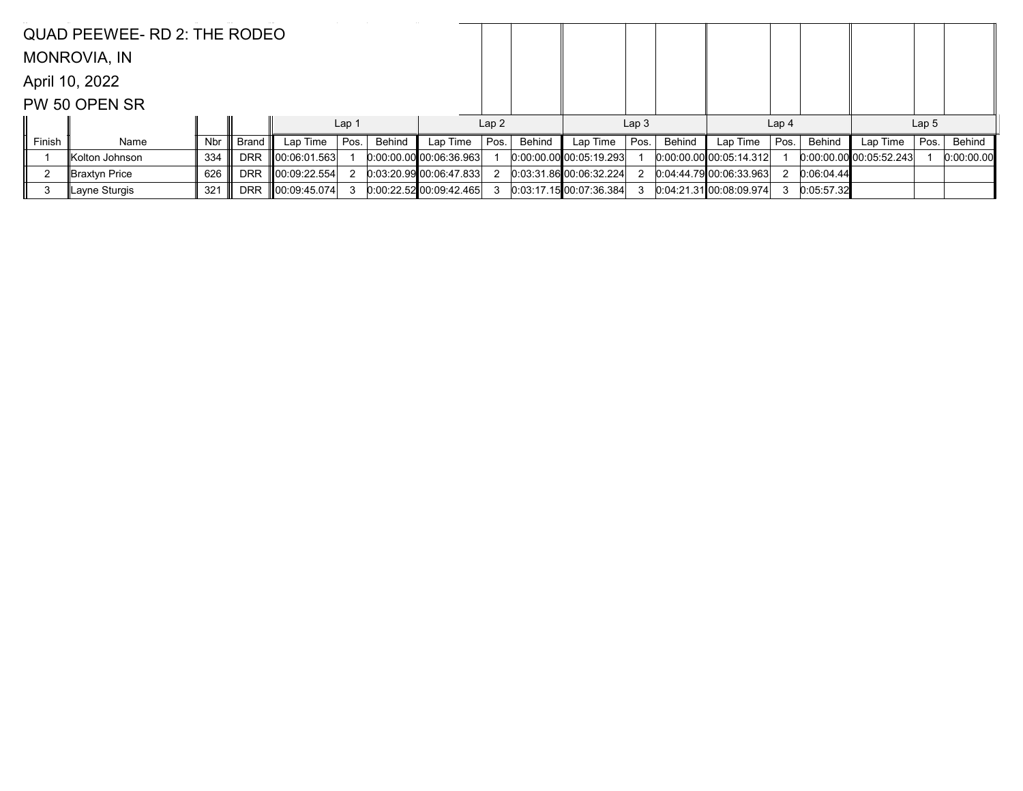|        | QUAD PEEWEE- RD 2: THE RODEO |     |            |                    |                  |        |                         |      |        |                         |                  |        |                                 |                  |            |                             |                  |            |
|--------|------------------------------|-----|------------|--------------------|------------------|--------|-------------------------|------|--------|-------------------------|------------------|--------|---------------------------------|------------------|------------|-----------------------------|------------------|------------|
|        | <b>MONROVIA, IN</b>          |     |            |                    |                  |        |                         |      |        |                         |                  |        |                                 |                  |            |                             |                  |            |
|        | April 10, 2022               |     |            |                    |                  |        |                         |      |        |                         |                  |        |                                 |                  |            |                             |                  |            |
|        | PW 50 OPEN SR                |     |            |                    |                  |        |                         |      |        |                         |                  |        |                                 |                  |            |                             |                  |            |
|        |                              |     |            |                    | Lap <sub>1</sub> |        |                         | Lap2 |        |                         | Lap <sub>3</sub> |        |                                 | Lap <sub>4</sub> |            |                             | Lap <sub>5</sub> |            |
| Finish | Name                         | Nbr | Brand      | Lap Time $ $ Pos.  |                  | Behind | Lap Time                | Pos. | Behind | Lap Time                | Pos.             | Behind | Lap Time                        | Pos.             | Behind     | Lap Time                    | Pos.             | Behind     |
|        | Kolton Johnson               | 334 | <b>DRR</b> | $\ 00:06:01.563\ $ |                  |        | 0.00.00.00 00.06.36.963 |      |        | 0.00.00.00 00.05:19.293 |                  |        | $[0:00:00.00]$ $[00:05:14.312]$ |                  |            | $[0.00:00.00]$ 00:05:52.243 |                  | 0:00:00.00 |
|        | ∥Braxtyn Price               | 626 | <b>DRR</b> | $\ 00:09:22.554\ $ |                  |        | 0.03:20.9900006.47.833  |      |        | 0.03.31.86 00.06.32.224 |                  |        | 0.04.44.79 00.06:33.963         |                  | 0:06:04.44 |                             |                  |            |
| 3      | ∥Layne Sturgis               | 321 | <b>DRR</b> | $\ 00.09.45.074\ $ |                  |        | 0.00:22.52 00.09:42.465 |      |        | 0:03:17.15100:07:36.384 |                  |        | 0.04.21.3100.08.09.974          |                  | 0:05:57.32 |                             |                  |            |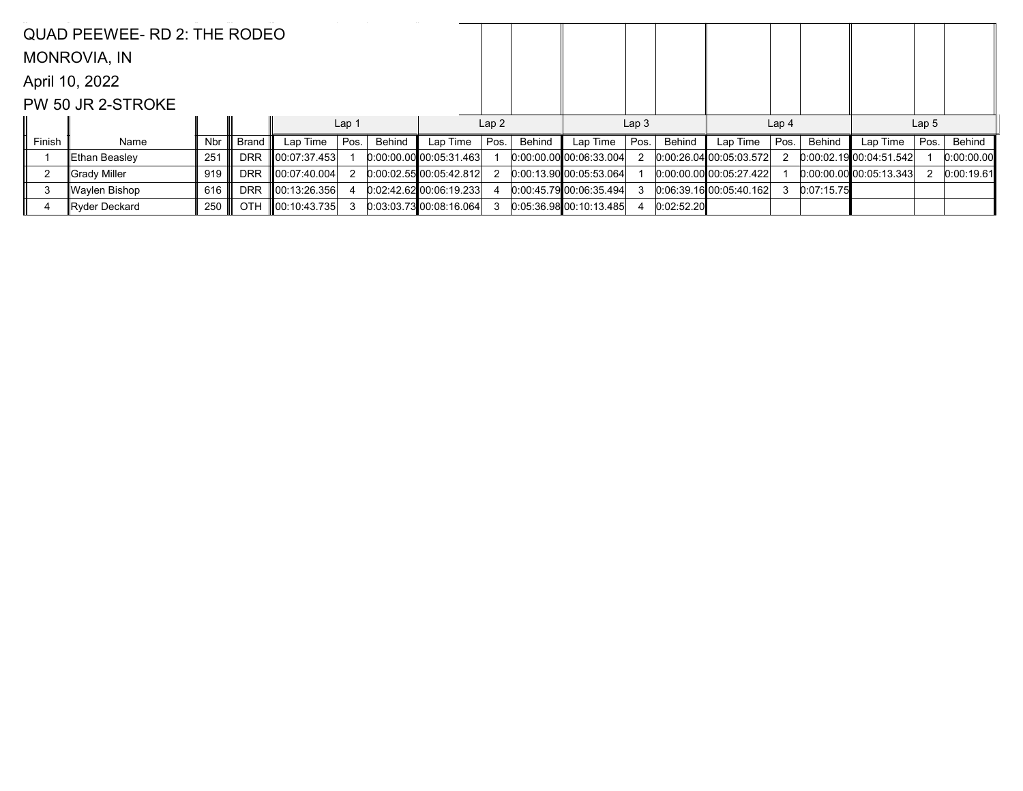|                   | QUAD PEEWEE- RD 2: THE RODEO |     |            |                      |                  |        |                           |      |               |                             |      |            |                         |                  |            |                                 |      |            |  |
|-------------------|------------------------------|-----|------------|----------------------|------------------|--------|---------------------------|------|---------------|-----------------------------|------|------------|-------------------------|------------------|------------|---------------------------------|------|------------|--|
|                   | <b>MONROVIA, IN</b>          |     |            |                      |                  |        |                           |      |               |                             |      |            |                         |                  |            |                                 |      |            |  |
|                   | April 10, 2022               |     |            |                      |                  |        |                           |      |               |                             |      |            |                         |                  |            |                                 |      |            |  |
| PW 50 JR 2-STROKE |                              |     |            |                      |                  |        |                           |      |               |                             |      |            |                         |                  |            |                                 |      |            |  |
|                   |                              |     |            |                      | Lap <sub>1</sub> |        |                           | Lap2 |               | Lap <sub>3</sub>            |      |            |                         | Lap <sub>4</sub> |            | Lap <sub>5</sub>                |      |            |  |
| Finish            | Name                         | Nbr | Brand      | Lap Time $\parallel$ | Pos.             | Behind | Lap Time                  | Pos. | <b>Behind</b> | Lap Time                    | Pos. | Behind     | Lap Time                | Pos.             | Behind     | Lap Time                        | Pos. | Behind     |  |
|                   | Ethan Beasley                | 251 | <b>DRR</b> | 00:07:37.453         |                  |        | $0:00:00.00$ 00:05:31.463 |      |               | $[0.00.00.00]$ 00:06:33.004 |      |            | 0:00:26.0400:05:03.572  |                  |            | $[0:00:02.19]$ $[00:04:51.542]$ |      | 0:00:00.00 |  |
|                   | ∥Grady Miller                | 919 | <b>DRR</b> | 00:07:40.004         |                  |        | 0.00.02.55000.05.42.812   |      |               | $0:00:13.90$ 00:05:53.064   |      |            | 0:00:00.00 00:05:27.422 |                  |            | $[0.00.00.00]$ 00:05:13.343     |      | 0:00:19.61 |  |
| 3                 | ∥Waylen Bishop               | 616 | <b>DRR</b> | 00:13:26.356         |                  |        | 0.02:42.62 00:06:19.233   |      |               | 0.00.45.7900.0635.494       |      |            | 0.06.39.1600.05.40.162  | 3                | 0:07:15.75 |                                 |      |            |  |
|                   | Ryder Deckard                | 250 | <b>OTH</b> | $\ 00:10:43.735\ $   |                  |        | 0.03.03.7300.08.16.064    |      |               | 0.05.36.98 00.10.13.485     |      | 0:02:52.20 |                         |                  |            |                                 |      |            |  |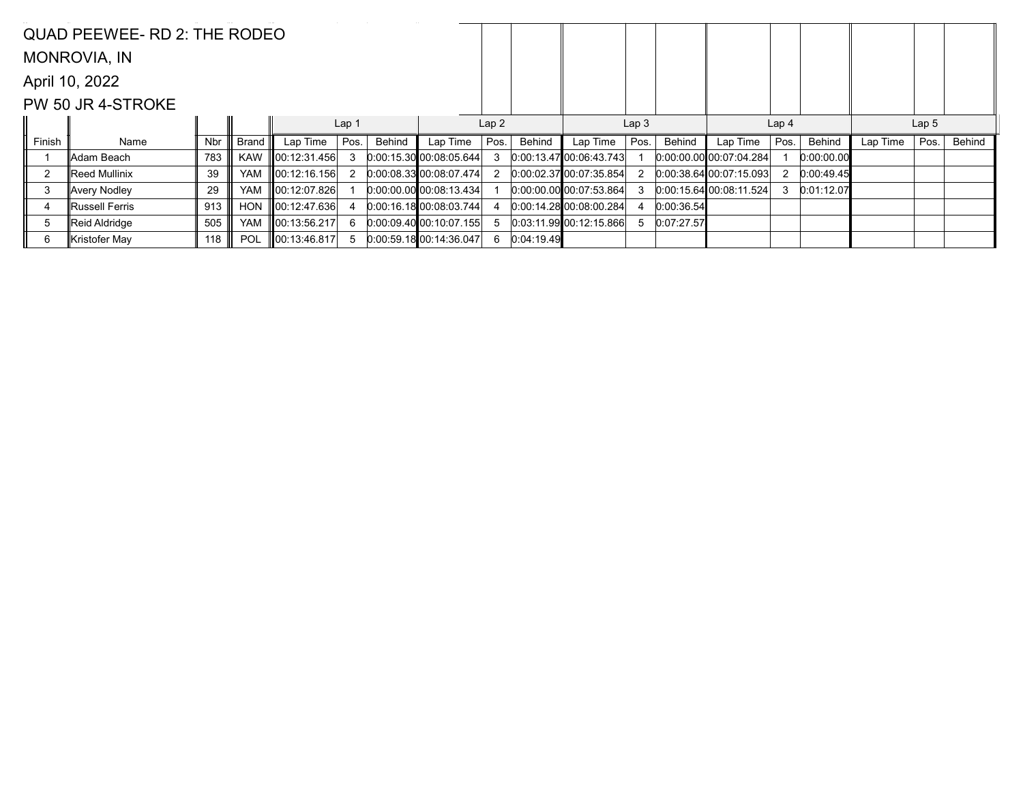|        | QUAD PEEWEE- RD 2: THE RODEO |            |              |                    |      |        |                           |      |            |                           |      |            |                           |                  |            |                  |      |        |
|--------|------------------------------|------------|--------------|--------------------|------|--------|---------------------------|------|------------|---------------------------|------|------------|---------------------------|------------------|------------|------------------|------|--------|
|        | MONROVIA, IN                 |            |              |                    |      |        |                           |      |            |                           |      |            |                           |                  |            |                  |      |        |
|        | April 10, 2022               |            |              |                    |      |        |                           |      |            |                           |      |            |                           |                  |            |                  |      |        |
|        | PW 50 JR 4-STROKE            |            |              |                    |      |        |                           |      |            |                           |      |            |                           |                  |            |                  |      |        |
|        |                              |            |              | Lap 1              |      |        | Lap2                      |      |            | Lap <sub>3</sub>          |      |            |                           | Lap <sub>4</sub> |            | Lap <sub>5</sub> |      |        |
| Finish | Name                         | <b>Nbr</b> | <b>Brand</b> | Lap Time           | Pos. | Behind | Lap Time                  | Pos. | Behind     | Lap Time                  | Pos. | Behind     | Lap Time                  | Pos.             | Behind     | Lap Time         | Pos. | Behind |
|        | ∥Adam Beach                  | 783        | <b>KAW</b>   | 00:12:31.456       |      |        | 0.00:15.30 00:08:05.644   | 3    |            | $0.00:13.47$ 00:06:43.743 |      |            | $0:00.00.00$ 00:07:04.284 |                  | 0:00:00.00 |                  |      |        |
|        | ⊪Reed Mullinix               | 39         | YAM          | 00:12:16.156       |      |        | 0.00:08.33 00:08:07.474   | 2    |            | 0.00.02.3700.0735.854     |      |            | $0:00:38.64$ 00:07:15.093 |                  | 0:00:49.45 |                  |      |        |
| 3      | Avery Nodley                 | 29         | <b>YAM</b>   | 00:12:07.826       |      |        | $0:00:00.00$ 00:08:13.434 |      |            | 0.00.00.00000:07:53.864   |      |            | 0:00:15.6400:08:11.524    | 3                | 0:01:12.07 |                  |      |        |
| 4      | ∥Russell Ferris              | 913        | <b>HON</b>   | $\ 00:12:47.636\ $ |      |        | 0.00:16.1800:08.03.744    |      |            | 0.0014.28000.0800.284     |      | 0:00:36.54 |                           |                  |            |                  |      |        |
| 5      | Reid Aldridge                | 505        | <b>YAM</b>   | 00:13:56.217       | 6    |        | 0.00:09.40 00:10:07.155   | 5    |            | 0.03:11.99 00:12:15.866   |      | 0:07:27.57 |                           |                  |            |                  |      |        |
| 6      | ∥Kristofer May               | 118        | <b>POL</b>   | 00:13:46.817       |      |        | 0.00:59.18:00:14:36.047   | 6    | 0:04:19.49 |                           |      |            |                           |                  |            |                  |      |        |